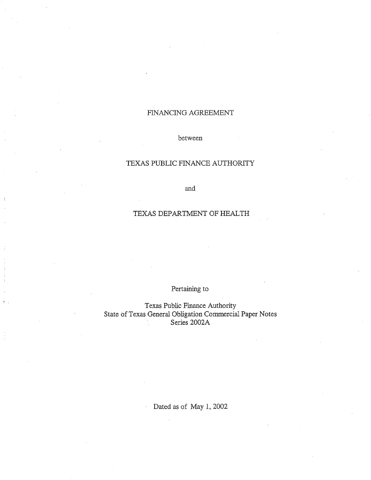# FINANCING AGREEMENT

between

# TEXAS PUBLIC FINANCE AUTHORITY

and

# TEXAS DEPARTMENT OF HEALTH

Pertaining to

Texas Public Finance Authority State of Texas General Obligation Commercial Paper Notes Series 2002A

Dated as of May 1, 2002

ä,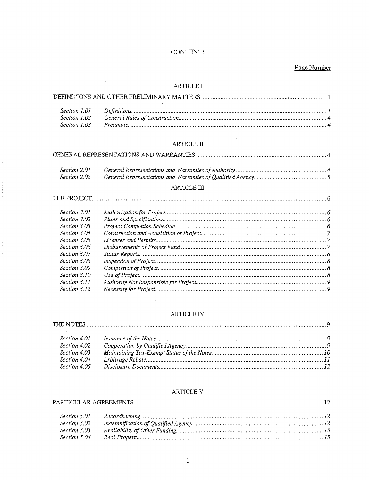# **CONTENTS**

Page Number

# ARTICLE I

## $\operatorname{ARTICLE}$  II

|--|--|--|

| Section 2.01 |  |
|--------------|--|
| Section 2.02 |  |

#### $\operatorname{ARTICLE}$  III

÷

#### ARTICLE IV

| Section 4.01 |  |
|--------------|--|
| Section 4.02 |  |
| Section 4.03 |  |
| Section 4.04 |  |
|              |  |

# ARTICLE V

| Section 5.01 |  |
|--------------|--|
| Section 5.02 |  |
| Section 5.03 |  |
| Section 5.04 |  |

 $\mathbf{i}$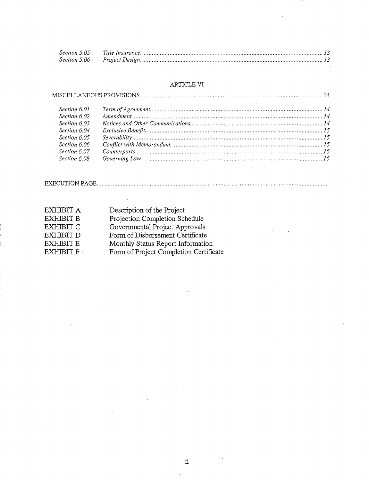# ARTICLE VI

#### 

| Section 6.01 |  |
|--------------|--|
| Section 6.02 |  |
| Section 6.03 |  |
| Section 6.04 |  |
| Section 6.05 |  |
| Section 6.06 |  |
| Section 6.07 |  |
| Section 6.08 |  |

#### 

| EXHIBIT A | Description of the Project             |
|-----------|----------------------------------------|
| EXHIBIT B | Projection Completion Schedule         |
| EXHIBIT C | Governmental Project Approvals         |
| EXHIBIT D | Form of Disbursement Certificate       |
| EXHIBIT E | Monthly Status Report Information      |
| EXHIBIT F | Form of Project Completion Certificate |
|           |                                        |

 $\ddot{\phantom{1}}$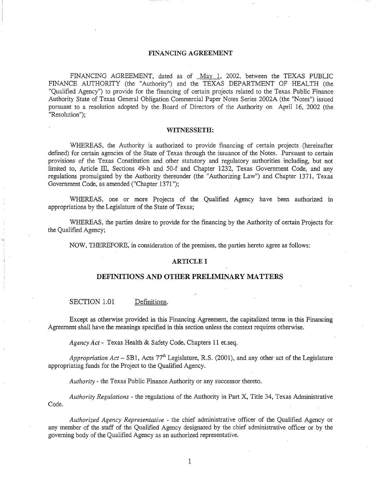#### FINANCING AGREEMENT

FINANCING AGREEMENT, dated as of May 1, 2002, between the TEXAS PUBLIC FINANCE AUTHORITY (the "Authority") and the TEXAS DEPARTMENT OF HEALTH (the "Qualified Agency") to provide for the financing of certain projects related to the Texas Public Finance Authority State of Texas General Obligation Commercial Paper Notes Series 2002A (the "Notes") issued pursuant to a resolution adopted by the Board of Directors of the Authority on April 16, 2002 (the "Resolution");

#### WITNESSETH:

WHEREAS, the Authority is authorized to provide financing of certain projects (hereinafter defined) for certain agencies of the State of Texas through the issuance of the Notes. Pursuant to certain provisions of the Texas Constitution and other statutory and regulatory authorities including, but not limited to, Article III, Sections 49-h and 50-f and Chapter 1232, Texas Government Code, and any regulations promulgated by the Authority thereunder (the "Authorizing Law") and Chapter 1371, Texas Government Code, as amended ("Chapter 1371");

WHEREAS, one or more Projects of the Qualified Agency have been authorized in appropriations by the Legislature of the State of Texas;

WHEREAS, the parties desire to provide for the financing by the Authority of certain Projects for the Qualified Agency;

NOW, THEREFORE; in consideration of the premises, the parties hereto agree as follows:

#### ARTICLE I

#### **DEFINITIONS AND OTHER PRELIMINARY MATTERS**

SECTION 1.01 Definitions.

Except as otherwise provided in this Financing Agreement, the capitalized terms in this Financing Agreement shall have the meanings specified in this section unless the context requires otherwise.

*Agency Act-* Texas Health & Safety Code, Chapters 11 et.seq.

*Appropriation Act* – SB1, Acts 77<sup>th</sup> Legislature, R.S. (2001), and any other act of the Legislature appropriating funds for the Project to the Qualified Agency.

*Authority* - the Texas Public Finance Authority or any successor thereto.

*Authority Regulations* - the regulations of the Authority in Part X, Title 34, Texas Administrative Code.

*Authorized Agency Representative* - the chief administrative officer of the Qualified Agency or any member of the staff of the Qualified Agency designated by the chief administrative officer or by the governing body of the Qualified Agency as an authorized representative.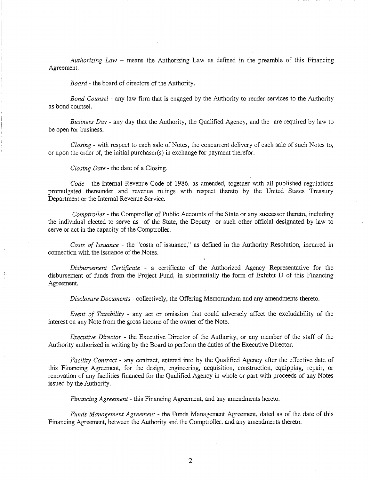*Authorizing Law* - means the Authorizing Law as defined in the preamble of this Financing Agreement.

*Board-* the board of directors of the Authority.

*Bond Counsel* - any law firm that is engaged by the Authority to render services to the Authority as bond counsel.

*Business Day-* any day that the Authority, the Qualified Agency, and the are required by law to be open for business.

*Closing* - with respect to each sale of Notes, the concurrent delivery of each sale of such Notes to, or upon the order of, the initial purchaser(s) in exchange for payment therefor.

*Closing Date* - the date of a Closing.

*Code* - the Internal Revenue Code of 1986, as amended, together with all published regulations promulgated thereunder and revenue rulings with respect thereto by the United States Treasury Department or the Internal Revenue Service.

*Comptroller* - the Comptroller of Public Accounts of the State or any successor thereto, including the individual elected to serve as of the State, the Deputy or such other official designated by law to serve or act in the capacity of the Comptroller.

*Costs of Issuance* - the "costs of issuance," as defined in the Authority Resolution, incurred in connection with the issuance of the Notes.

*Disbursement Certificate* - a certificate of the Authorized Agency Representative for the disbursement of funds from the Project Fund, in substantially the form of Exhibit D of this Financing Agreement.

*Disclosure Documents-* collectively, the Offering Memorandum and any amendments thereto.

*Event of Taxability* - any act or omission that could adversely affect the excludability of the interest on any Note from the gross income of the owner of the Note.

*Executive Director* - the Executive Director of the Authority, or any member of the staff of the Authority authorized in writing by the Board to perform the duties of the Executive Director.

*Facility Contract* - any contract, entered into by the Qualified Agency after the effective date of this Financing Agreement, for the design, engineering, acquisition, construction, equipping, repair, or renovation of any facilities financed for the Qualified Agency in whole or part with proceeds of any Notes issued by the Authority.

*Financing Agreement* - this Financing Agreement, and any amendments hereto.

*Funds Management Agreement* - the Funds Management Agreement, dated as of the date of this Financing Agreement, between the Authority and the Comptroller, and any amendments thereto.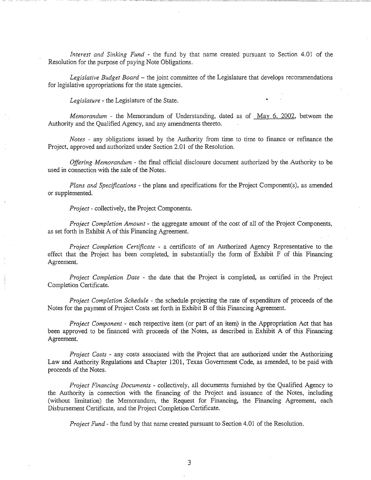*Interest and Sinking Fund* - the fund by that name created pursuant to Section 4.01 of the Resolution for the purpose of paying Note Obligations.

--- ~- -----------~-------

*Legislative Budget Board* - the joint committee of the Legislature that develops recommendations for legislative appropriations for the state agencies.

*Legislature* - the Legislature of the State.

*Memorandum* - the Memorandum of Understanding, dated as of May 6, 2002, between the Authority and the Qualified Agency, and any amendments thereto.

*Notes* - any obligations issued by the Authority from time to time to finance or refinance the Project, approved and authorized under Section 2.01 of the Resolution.

*Offering Memorandum* - the final official disclosure document authorized by the Authority to be used in connection with the sale of the Notes.

*Plans and Specifications-* the plans and specifications for the Project Component(s), as amended or supplemented.

*Project-* collectively, the Project Components.

*Project Completion Amount* - the aggregate amount of the cost of all of the Project Components, as set forth in Exhibit A of this Financing Agreement.

*Project Completion Certificate* - a certificate of an Authorized Agency Representative to the effect that the Project has been completed, in substantially the form of Exhibit  $F$  of this Financing Agreement.

*Project Completion Date* - the date that the Project is completed, as certified in the Project Completion Certificate.

*Project Completion Schedule* - the schedule projecting the rate of expenditure of proceeds of the Notes for the payment of Project Costs set forth in Exhibit B of this Financing Agreement.

*Project Component-* each respective item (or part of an item) in the Appropriation Act that has been approved to be financed with proceeds of the Notes, as described in Exhibit A of this Financing Agreement.

*Project Costs* - any costs associated with the Project that are authorized under the Authorizing Law and Authority Regulations and Chapter 1201, Texas Government Code, as amended, to be paid with proceeds of the Notes.

*Project Financing Documents-* collectively, all documents furnished by the Qualified Agency to the Authority in connection with the financing of the Project and issuance of the Notes, including (without limitation) the Memorandum, the Request for Financing, the Financing Agreement, each Disbursement Certificate, and the Project Completion Certificate.

*Project Fund-* the fund by that name created pursuant to Section 4.01 of the Resolution.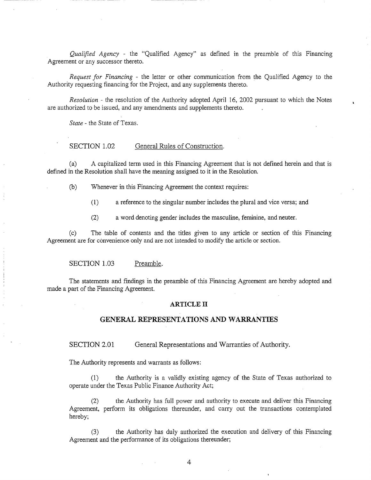*Qualified Agency* - the "Qualified Agency" as defined in the preamble of this Financing Agreement or any successor thereto.

*Request for Financing* - the letter or other communication from the Qualified Agency to the Authority requesting financing for the Project, and any supplements thereto.

*Resolution* - the resolution of the Authority adopted April 16, 2002 pursuant to which the Notes are authorized to be issued, and any amendments and supplements thereto.

*State* - the State of Texas.

#### SECTION 1.02 General Rules of Construction.

(a) A capitalized term used in this Financing Agreement that is not defined herein and that is defined in the Resolution shall have the meaning assigned to it in the Resolution.

- (b) Whenever in this Financing Agreement the context requires:
	- (1) a reference to the singular number includes the plural and vice versa; and
	- (2) a word denoting gender includes the masculine, feminine, and neuter.

(c) The table of contents and the titles given to any article or section of this Financing Agreement are for convenience only and are not intended to modify the article or section.

#### SECTION 1.03 Preamble.

The statements and findings in the preamble of this Financing Agreement are hereby adopted and made a part of the Financing Agreement.

#### **ARTICLE II**

#### **GENERAL REPRESENTATIONS AND WARRANTIES**

SECTION 2.01 General Representations and Warranties of Authority.

The Authority represents and warrants as follows:

(1) the Authority is a validly existing agency of the State of Texas authorized to operate under the Texas Public Finance Authority Act;

(2) the Authority has full power and authority to execute and deliver this Financing Agreement, perform its obligations thereunder, and carry out the transactions contemplated hereby;

the Authority has duly authorized the execution and delivery of this Financing Agreement and the performance of its obligations thereunder;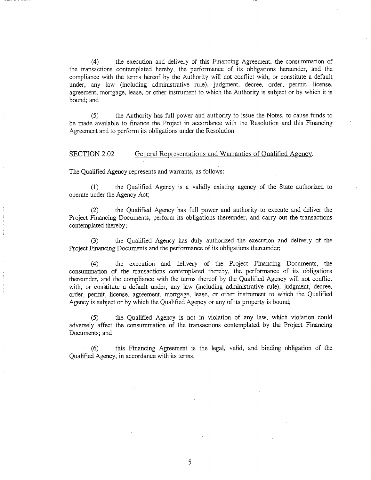(4) the execution and delivery of this Financing Agreement, the consummation of the transactions contemplated hereby, the performance of its obligations hereunder, and the compliance with the terms hereof by the Authority will not conflict with, or constitute a default under, any law (including administrative rule), judgment, decree, order, permit, license, agreement, mortgage, lease, or other instrument to which the Authority is subject or by which it is bound; and

(5) the Authority has fu11 power and authority to issue the Notes, to cause funds to be made available to finance the Project in accordance with the Resolution and this Financing Agreement and to perform its obligations under the Resolution.

SECTION 2.02 General Representations and Warranties of Qualified Agency.

The Qualified Agency represents and warrants, as follows:

(1) the Qualified Agency is a validly existing agency of the State authorized to operate under the Agency Act;

(2) the Qualified Agency has fu11 power and authority to execute and deliver the Project Financing Documents, perform its obligations thereunder, and carry out the transactions contemplated thereby; .

(3) the Qualified Agency has duly authorized the execution and delivery of the Project Financing Documents and the performance of its obligations thereunder;

(4) the execution and delivery of the Project Financing Documents, the consummation of the transactions contemplated thereby, the performance of its obligations thereunder, and the compliance with the terms thereof by the Qualified Agency will not conflict with, or constitute a default under, any law (including administrative rule), judgment, decree, order, permit, license, agreement, mortgage, lease, or other instrument to which the Qualified Agency is subject or by which the Qualified Agency or any of its property is bound;

(5) the Qualified Agency is not in violation of any law, which violation could adversely affect the consummation of the transactions contemplated by the Project Financing Documents; and

(6) this Financing Agreement is the legal, valid, and binding obligation of the Qualified Agency, in accordance with its terms.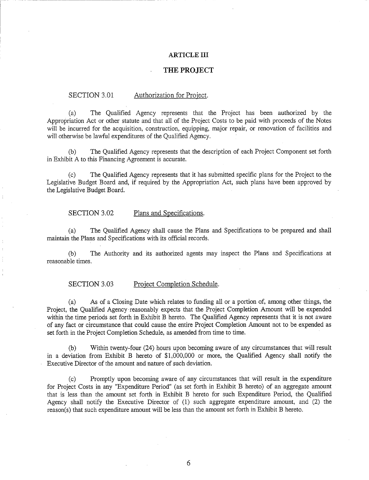#### **ARTICLE III**

### **THE PROJECT**

#### SECTION 3.01 Authorization for Project.

(a) The Qualified Agency represents that the Project has been authorized by the Appropriation Act or other statute and that all of the Project Costs to be paid with proceeds of the Notes will be incurred for the acquisition, construction, equipping, major repair, or renovation of facilities and will otherwise be lawful expenditures of the Qualified Agency.

The Qualified Agency represents that the description of each Project Component set forth in Exhibit A to this Financing Agreement is accurate.

(c) The Qualified Agency represents that it has submitted specific plans for the Project to the Legislative Budget Board and, if required by the Appropriation Act, such plans have been approved by the Legislative Budget Board.

#### SECTION 3.02 Plans and Specifications.

(a) The Qualified Agency shall cause the Plans and Specifications to be prepared and shall maintain the Plans and Specifications with its official records.

(b) The Authority and its authorized agents may inspect the Plans and Specifications at reasonable times.

#### SECTION 3.03 Project Completion Schedule.

(a) As of a Closing Date which relates to funding all or a portion of, among other things, the Project, the Qualified Agency reasonably expects that the Project Completion Amount will be expended within the time periods set forth in Exhibit B hereto. The Qualified Agency represents that it is not aware of any fact or circumstance that could cause the entire Project Completion Amount not to be expended as set forth in the Project Completion Schedule, as amended from time to time.

(b) Within twenty-four (24) hours upon becoming aware of any circumstances that will result in a deviation from Exhibit B hereto of \$1,000,000 or more, the Qualified Agency shall notify the Executive Director of the amount and nature of such deviation.

(c) Promptly upon becoming aware of any circumstances that will result in the expenditure for Project Costs in any "Expenditure Period" (as set forth in Exhibit B hereto) of an aggregate amount that is less than the amount set forth in Exhibit B hereto for such Expenditure Period, the Qualified Agency shall notify the Executive Director of (1) such aggregate expenditure amount, and (2) the reason(s) that such expenditure amount will be less than the amount set forth in Exhibit B hereto.

6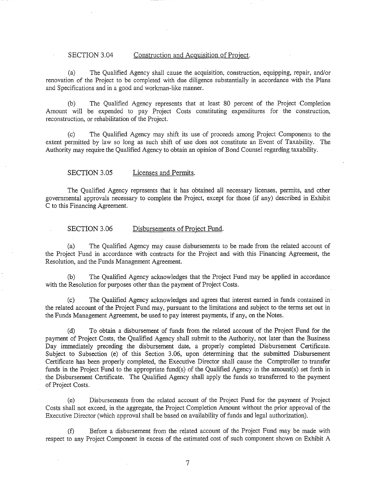#### SECTION 3.04 Construction and Acquisition of Project.

(a) The Qualified Agency shall cause the acquisition, construction, equipping, repair, and/or renovation of the Project to be completed with due diligence substantially in accordance with the Plans and Specifications and in a good and workman-like manner.

(b) The Qualified Agency represents that at least 80 percent of the Project Completion Amount will be expended to pay Project Costs constituting expenditures for the construction, reconstruction, or rehabilitation of the Project.

(c) The Qualified Agency may shift its use of proceeds among Project Components to the extent permitted by law so long as such shift of use does not constitute an Event of Taxability. The Authority may require the Qualified Agency to obtain an opinion of Bond Counsel regarding taxability.

SECTION 3.05 Licenses and Permits.

The Qualified Agency represents that it has obtained all necessary licenses, permits, and other governmental approvals necessary to complete the Project, except for those (if any) described in Exhibit C to this Financing Agreement.

#### SECTION 3.06 Disbursements of Project Fund.

(a) The Qualified Agency may cause disbursements to be made from the related account of the Project Fund in accordance with contracts for the Project and with this Financing Agreement, the Resolution, and the Funds Management Agreement.

(b) The Qualified Agency acknowledges that the Project Fund may be applied in accordance with the Resolution for purposes other than the payment of Project Costs.

(c) The Qualified Agency acknowledges and agrees that interest earned in funds contained in the related account of the Project Fund may, pursuant to the limitations and subject to the terms set out in the Funds Management Agreement, be used to pay interest payments, if any, on the Notes.

(d) To obtain a disbursement of funds from the related account of the Project Fund for the payment of Project Costs, the Qualified Agency shall submit to the Authority, not later than the Business Day immediately preceding the disbursement date, a properly completed Disbursement Certificate. Subject to Subsection (e) of this Section 3.06, upon determining that the submitted Disbursement Certificate has been properly completed, the Executive Director shall cause the Comptroller to transfer funds in the Project Fund to the appropriate fund(s) of the Qualified Agency in the amount(s) set forth in the Disbursement Certificate. The Qualified Agency shall apply the funds so transferred to the payment of Project Costs.

(e) Disbursements from the related account of the Project Fund for the payment of Project Costs shall not exceed, in the aggregate, the Project Completion Amount without the prior approval of the Executive Director (which approval shall be based on availability of funds and legal authorization).

(f) Before a disbursement from the related account of the Project Fund may be made with respect to any Project Component in excess of the estimated cost of such component shown on Exhibit A

7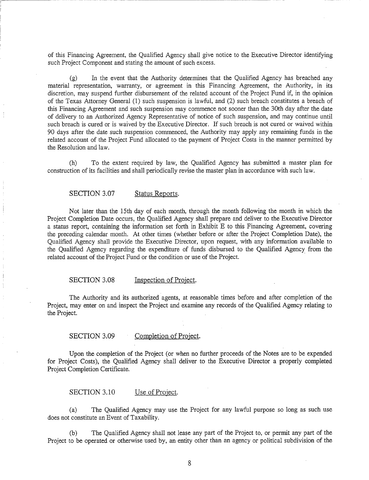of this Financing Agreement, the Qualified Agency shall give notice to the Executive Director identifying such Project Component and stating the amount of such excess.

. -·· -~-- -----------------------------------------------

(g) In the event that the Authority determines that the Qualified Agency has breached any material representation, warranty, or agreement in this Financing Agreement, the Authority, in its discretion, may suspend further disbursement of the related account of the Project Fund if, in the opinion of the Texas Attorney General (1) such suspension is lawful, and (2) such breach constitutes a breach of this Financing Agreement and such suspension may commence not sooner than the 30th day after the date of delivery to an Authorized Agency Representative of notice of such suspension, and may continue until such breach is cured or is waived by the Executive Director. If such breach is not cured or waived within 90 days after the date such suspension commenced, the Authority may apply any remaining funds in the related account of the Project Fund allocated to the payment of Project Costs in the manner permitted by the Resolution and law.

(h) To the extent required by law, the Qualified Agency has submitted a master plan for construction of its facilities and shall periodically revise the master plan in accordance with such law.

#### SECTION 3.07 Status Reports.

Not later than the 15th day of each month, through the month following the month in which the Project Completion Date occurs, the Qualified Agency shall prepare and deliver to the Executive Director a status report, containing the information set forth in Exhibit E to this Financing Agreement, covering the preceding calendar month. At other times (whether before or after the Project Completion Date), the Qualified Agency shall provide the Executive Director, upon request, with any information available to the Qualified Agency regarding the expenditure of funds disbursed to the Qualified Agency. from the related account of the Project Fund or the condition or use of the Project.

# SECTION 3.08 Inspection of Project.

The Authority and its authorized agents, at reasonable times before and after completion of the Project, may enter on and inspect the Project and examine any records of the Qualified Agency relating to the Project.

#### SECTION 3.09 Completion of Project.

Upon the completion of the Project (or when no further proceeds of the Notes are to be expended for Project Costs), the Qualified Agency shall deliver to the Executive Director a properly completed Project Completion Certificate.

SECTION 3.10 Use of Project.

(a) The Qualified Agency may use the Project for any lawful purpose so long as such use does not constitute an Event of Taxability.

The Qualified Agency shall not lease any part of the Project to, or permit any part of the Project to be operated or otherwise used by, an entity other than an agency or political subdivision of the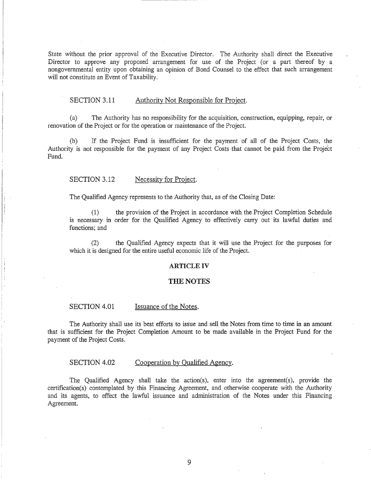State without the prior approval of the Executive Director. The Authority shall direct the Executive Director to approve any proposed arrangement for use of the Project (or a part thereof by a nongovernmental entity upon obtaining an opinion of Bond Counsel to the effect that such arrangement will not constitute an Event of Taxability.

#### SECTION 3.11 Authority Not Responsible for Project.

(a) The Authority has no responsibility for the acquisition, construction, equipping, repair, or renovation of the Project or for the operation or maintenance of the Project.

(b) If the Project Fund is insufficient for the payment of all of the Project Costs, the Authority is not responsible for the payment of any Project Costs that cannot be paid from the Project Fund.

#### SECTION 3.12 Necessity for Project.

The Qualified Agency represents to the Authority that, as of the Closing Date:

(1) the provision of the Project in accordance with the Project Completion Schedule is necessary in order for the Qualified Agency to effectively carry out its lawful duties and functions; and

(2) the Qualified Agency expects that it will use the Project for the purposes for which it is designed for the entire useful economic life of the Project.

#### ARTICLE IV

#### **THE** NOTES

#### SECTION 4.01 Issuance of the Notes.

The Authority shall use its best efforts to issue and sell the Notes from time to time in an amount that is sufficient for the Project Completion Amount to be made available in the Project Fund for the payment of the Project Costs.

#### SECTION 4.02 Cooperation by Qualified Agency.

The Qualified Agency shall take the action(s), enter into the agreement(s), provide the certification(s) contemplated by this Financing Agreement, and otherwise cooperate with the Authority and its agents, to effect the lawful issuance and administration of the Notes under this Financing Agreement.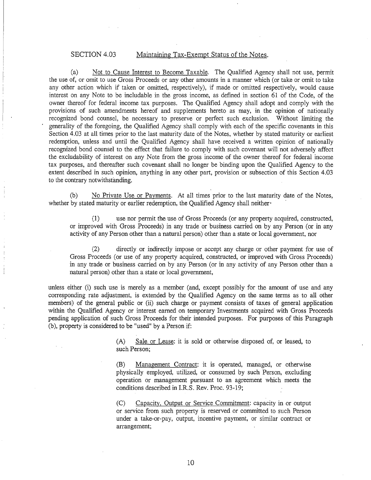# SECTION 4.03 Maintaining Tax-Exempt Status of the Notes.

(a) Not to Cause Interest to Become Taxable. The Qualified Agency shall not use, permit the use of, or omit to use Gross Proceeds or any other amounts in a manner which (or take or omit to take any other action which if taken or omitted, respectively), if made or omitted respectively, would cause interest on any Note to be includable in the gross income, as defined in section 61 of the Code, of the owner thereof for federal income tax purposes. The Qualified Agency shall adopt and comply with the provisions of such amendments hereof and supplements hereto as may, in the opinion of nationally recognized bond counsel, be necessary to preserve or perfect such exclusion. Without limiting the generality of the foregoing, the Qualified Agency shall comply with each of the specific covenants in this Section 4.03 at all times prior to the last maturity date of the Notes, whether by stated maturity or earliest redemption, unless and until the Qualified Agency shall have received a written opinion of nationally recognized bond counsel to the effect that failure to comply with such covenant will not adversely affect the excludability of interest on any Note from the gross income of the owner thereof for federal income tax purposes, and thereafter such covenant shall no longer be binding upon the Qualified Agency to the extent described in such opinion, anything in any other part, provision or subsection of this Section 4.03 to the contrary notwithstanding.

(b) No Private Use or Payments. At all times prior to the last maturity date of the Notes, whether by stated maturity or earlier redemption, the Qualified Agency shall neither ·

(1) use nor permit the use of Gross Proceeds (or any property acquired, constructed, or improved with Gross Proceeds) in any trade or business carried on by any Person (or in any activity of any Person other than a natural person) other than a state or local government, nor

(2) directly or indirectly impose or accept any charge or other payment for use of Gross Proceeds (or use of any property acquired, constructed, or improved with Gross Proceeds) in any trade or business carried on by any Person (or in any activity of any Person other than a natural person) other than a state or local government,

unless either (i) such use is merely as a member (and, except possibly for the amount of use and any corresponding rate adjustment, is extended by the Qualified Agency on the same terms as to all other members) of the general public or (ii) such charge or payment consists of taxes of general application within the Qualified Agency or interest earned on temporary Investments acquired with Gross Proceeds pending application of such Gross Proceeds for their intended purposes. For purposes of this Paragraph (b), property is considered to be "used" by a Person if:

> (A) Sale or Lease: it is sold or otherwise disposed of, or leased, to such Person;

> (B) Management Contract: it is operated, managed, or otherwise physically employed, utilized, or consumed by such Person, excluding operation or management pursuant to an agreement which meets the conditions described in I.R.S. Rev. Proc. 93-19;

> (C) Capacity, Output or Service Commitment: capacity in or output or service from such property is reserved or committed to such Person under a take-or-pay, output, incentive payment, or similar contract or arrangement;

> > 10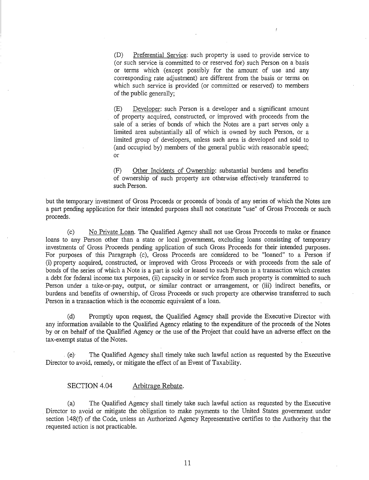(D) Preferential Service: such property is used to provide service to (or such service is committed to or reserved for) such Person on a basis or terms which (except possibly for the amount of use and any corresponding rate adjustment) are different from the basis or terms on which such service is provided (or committed or reserved) to members of the public generally;

(E) Developer: such Person is a developer and a significant amount of property acquired, constructed, or improved with proceeds from the sale of a series of bonds of which the Notes are a part serves only a limited area substantially all of which is owned by such Person, or a limited group of developers, unless such area is developed and sold to (and occupied by) members of the general public with reasonable speed; or

(F) Other Incidents of Ownership: substantial burdens and benefits of ownership of such property are otherwise effectively transferred to such Person.

but the temporary investment of Gross Proceeds or proceeds of bonds of any series of which the Notes are a part pending application for their intended purposes shall not constitute "use" of Gross Proceeds or such proceeds.

(c) No Private Loan. The Qualified Agency shall not use Gross Proceeds to make or finance loans to any Person other than a state or local government, excluding loans consisting of temporary investments of Gross Proceeds pending application of such Gross Proceeds for their intended purposes. For purposes of this Paragraph (c), Gross Proceeds are considered to be "loaned" to a Person if (i) property acquired, constructed, or improved with Gross Proceeds or with proceeds from the sale of bonds of the series of which a Note is a part is sold or leased to such Person in a transaction which creates a debt for federal income tax purposes, (ii) capacity in or service from such property is committed to such Person under a take-or-pay, output, or similar contract or arrangement, or (iii) indirect benefits, or burdens and benefits of ownership, of Gross Proceeds or such property are otherwise transferred to such Person in a transaction which is the economic equivalent of a loan.

(d) Promptly upon request, the Qualified Agency shall provide the Executive Director with any information available to the Qualified Agency relating to the expenditure of the proceeds of the Notes by or on behalf of the Qualified Agency or the use of the Project that could have an adverse effect on the tax-exempt status of the Notes .

. (e) The Qualified Agency shall timely take such lawful action as requested by the Executive Director to avoid, remedy, or mitigate the effect of an Event of Taxability.

#### SECTION 4.04 Arbitrage Rebate.

(a) The Qualified Agency shall timely take such lawful action as requested by the Executive Director to avoid or mitigate the obligation to make payments to the United States government. under section 148(f) of the Code, unless an Authorized Agency Representative certifies to the Authority that the requested action is not practicable.

11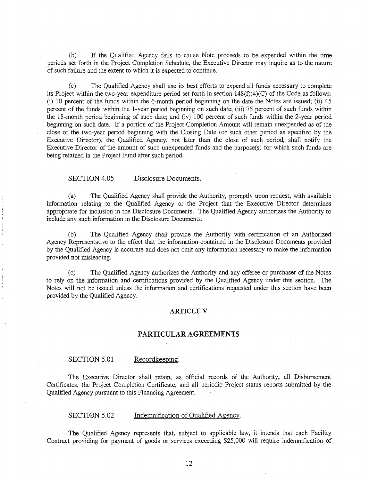(b) If the Qualified Agency fails to cause Note proceeds to be expended within the time periods set forth in the Project Completion Schedule, the Executive Director may inquire as to the nature of such failure and the extent to which it is expected to continue.

(c) The Qualified Agency shall use its best efforts to expend all funds necessary to complete its Project within the two-year expenditure period set forth in section 148(f)(4)(C) of the Code as follows: (i) 10 percent of the funds within the 6-month period beginning on the date the Notes are issued; (ii)  $45$ percent of the funds within the 1-year period beginning on such date; (iii) 75 percent of such funds within the 18-month period beginning of such date; and (iv) 100 percent of such funds within the 2-year period beginning on such date. If a portion of the Project Completion Amount will remain unexpended as of the close of the two-year period beginning with the Closing Date (or such other period as specified by the Executive Director), the Qualified Agency, not later than the close of such period, shall notify the Executive Director of the amount of such unexpended funds and the purpose(s) for which such funds are being retained in the Project Fund after such period.

#### SECTION 4.05 Disclosure Documents.

(a) The Qualified Agency shall provide the Authority, promptly upon request, with available information relating to the Qualified Agency or the Project that the Executive Director determines appropriate for inclusion in the Disclosure Documents. The Qualified Agency authorizes the Authority to include any such information in the Disclosure Documents.

(b) The Qualified Agency shall provide the Authority with certification of an Authorized Agency Representative to the effect that the information contained in the Disclosure Documents provided by the Qualified Agency is accurate and does not omit any information necessary to make the information provided not misleading.

(c) The Qualified Agency authorizes the Authority and any offeree or purchaser of the Notes to rely on the information and certifications provided by the Qualified Agency under this section. The Notes will not be issued unless the information and certifications requested under this section have been provided by the Qualified Agency.

#### **ARTICLE V**

#### **PARTICULAR AGREEMENTS**

#### SECTION 5.01 Recordkeeping.

The Executive Director shall retain, as official records of the Authority, all Disbursement Certificates, the Project Completion Certificate, and all periodic Project status reports submitted by the Qualified Agency pursuant to this Financing Agreement.

#### SECTION 5.02 Indemnification of Qualified Agency.

The Qualified Agency represents that, subject to applicable law, it intends that each Facility Contract providing for payment of goods or services exceeding \$25,000 will require indemnification of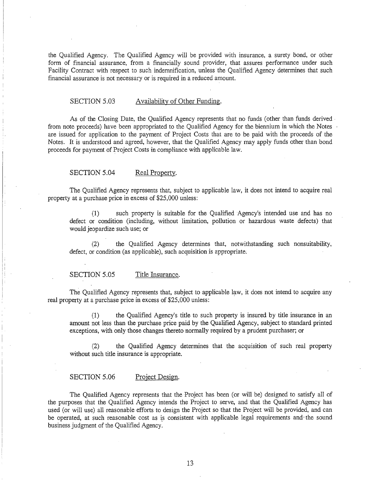the Qualified Agency. The Qualified Agency will be provided with insurance, a surety bond, or other form of financial assurance, from a financially sound provider, that assures performance under such Facility Contract with respect to such indemnification, unless the Qualified Agency determines that such financial assurance is not necessary or is required in a reduced amount.

#### SECTION 5.03 Availability of Other Funding.

As of the Closing Date, the Qualified Agency represents that no funds (other than funds derived · from note proceeds) have been appropriated to the Qualified Agency for the biennium in which the Notes are issued for application to the payment of Project Costs that are to be paid with the proceeds of the Notes. It is understood and agreed, however, that the Qualified Agency may apply funds other than bond proceeds for payment of Project Costs in compliance with applicable law.

#### SECTION 5.04 Real Property.

The Qualified Agency represents that, subject to applicable law, it does not intend to acquire real property at a purchase price in excess of \$25,000 unless:

(1) such property is suitable for the Qualified Agency's intended use and has no defect or condition (including, without limitation, pollution or hazardous waste defects) that would jeopardize· such use; or

(2) the Qualified Agency determines that, notwithstanding such nonsuitability, defect, or condition (as applicable), such acquisition is appropriate.

#### SECTION 5.05 Title Insurance.

The Qualified Agency represents that, subject to applicable law, it does not intend to acquire any real property at a purchase price in excess of \$25,000 unless:

(1) the Qualified Agency's title to such property is insured by title insurance in an amount not less than the purchase price paid by the Qualified Agency, subject to standard printed exceptions, with only those changes thereto normally required by a prudent purchaser; or

(2) the Qualified Agency determines that the acquisition of such real property without such title insurance is appropriate.

#### SECTION 5.06 Project Design.

The Qualified Agency represents that the Project has been (or will be) designed to satisfy all of the purposes that the Qualified Agency intends the Project to serve, and that the Qualified Agency has used (or will use) all reasonable efforts to design the Project so that the Project will be provided, and can be operated, at such reasonable cost as is consistent with applicable legal requirements and the sound business judgment of the Qualified Agency.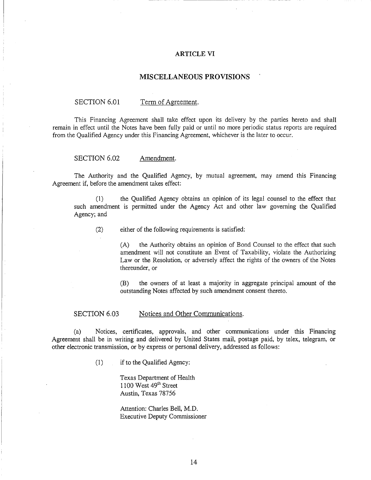#### ARTICLE VI

#### MISCELLANEOUS PROVISIONS

#### SECTION 6.01 Term of Agreement.

This Financing Agreement shall take effect upon its delivery by the parties hereto and shall remain in effect until the Notes have been fully paid or until no more periodic status reports are required from the Qualified Agency under this Financing Agreement, whichever is the later to occur.

SECTION 6.02 Amendment.

The Authority and the Qualified Agency, by mutual agreement, may amend this Financing Agreement if, before the amendment takes effect:

(1) the Qualified Agency obtains an opinion of its legal counsel to the effect that such amendment is permitted under the Agency Act and other law governing the Qualified Agency; and

(2) either of the following requirements is satisfied:

(A) the Authority obtains an opinion of Bond Counsel to the effect that such amendment will not constitute an Event of Taxability, violate the Authorizing Law or the Resolution, or adversely affect the rights of the owners of the Notes thereunder, or

(B) the owners of at least a majority in aggregate principal amount of the outstanding Notes affected by such amendment consent thereto.

#### SECTION 6.03 Notices and Other Communications.

(a) Notices, certificates, approvals, and other communications under this Financing Agreement shall be in writing and delivered by United States mail, postage paid, by telex, telegram, or other electronic transmission, or by express or personal delivery, addressed as follows:

( 1) if to the Qualified Agency:

Texas Department of Health 1100 West  $49<sup>th</sup>$  Street Austin, Texas 78756

Attention: Charles Bell, M.D. Executive Deputy Commissioner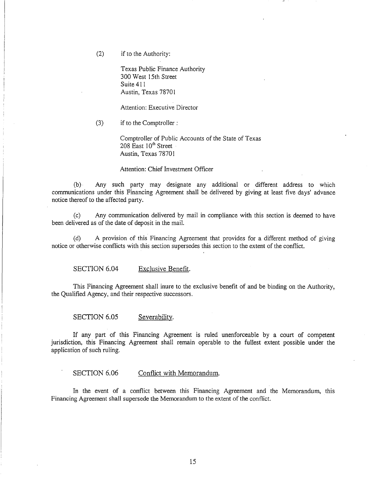(2) if to the Authority:

Texas Public Finance Authority 300 West 15th Street Suite 411 Austin, Texas 7870 I

Attention: Executive Director

(3) if to the Comptroller :

Comptroller of Public Accounts of the State of Texas 208 East 10<sup>th</sup> Street Austin, Texas 78701

Attention: Chief Investment Officer

(b)· Any such party may designate any additional or different address to which communications under this Financing Agreement shall be delivered by giving at least five days' advance notice thereof to the affected party.

(c) Any communication delivered by mail in compliance with this section is deemed to have been delivered as of the date of deposit in the mail.

(d) A provision of this Financing Agreement that provides for a different method of giving notice or otherwise conflicts with this section supersedes this section to the extent of the conflict.

SECTION 6.04 Exclusive Benefit.

This Financing Agreement shall inure to the exclusive benefit of and be binding on the Authority, the Qualified Agency, and their respective successors.

SECTION 6.05 Severability.

If any part of this Financing Agreement is ruled unenforceable by a court of competent jurisdiction, this Financing Agreement shall remain operable to the fullest extent possible under the application of such ruling.

SECTION 6.06 Conflict with Memorandum.

In the event of a conflict between this Financing Agreement and the Memorandum, this Financing Agreement shall supersede the Memorandum to the extent of the conflict.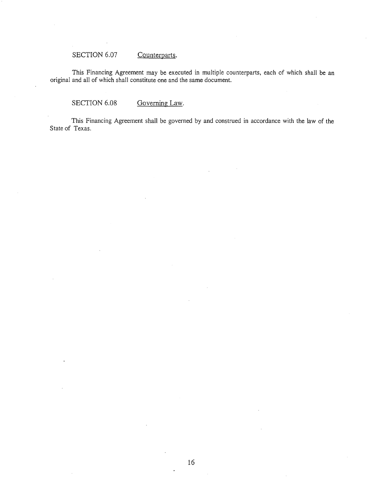# SECTION 6.07 Counterparts.

This Financing Agreement may be executed in multiple counterparts, each of which shaii be an original and all of which shall constitute one and the same document.

SECTION 6.08 Governing Law.

This Financing Agreement shall be governed by and construed in accordance with the law of the State of Texas.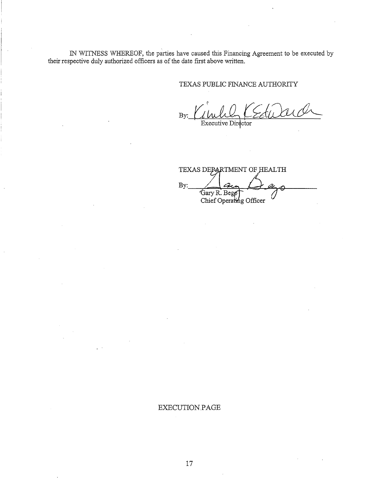IN WITNESS WHEREOF, the parties have caused this Financing Agreement to be executed by their respective duly authorized officers as of the date first above written.

# TEXAS PUBLIC FINANCE AUTHORITY

 $By: ll l l l l l l l l l l l l l l l l l l l l l l l l l l l l l l$ 

TEXAS DEPARTMENT OF HEALTH By: Gary R. Begp Chief Operating Officer

# EXECUTION PAGE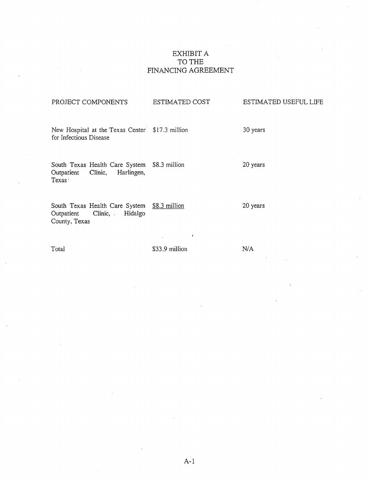# EXHIBIT A TO THE FINANCING AGREEMENT

# PROJECT COMPONENTS ESTIMATED COST New Hospital at the Texas Center \$17.3 million for Infectious Disease South Texas Health Care System \$8.3 million<br>Outpatient Clinic, Harlingen, Harlingen, Texas· South Texas Health Care System \$8.3 million Outpatient Clinic, Hidalgo County, Texas Total \$33.9 million ESTIMATED USEFUL LIFE 30 years 20 years 20 years N/A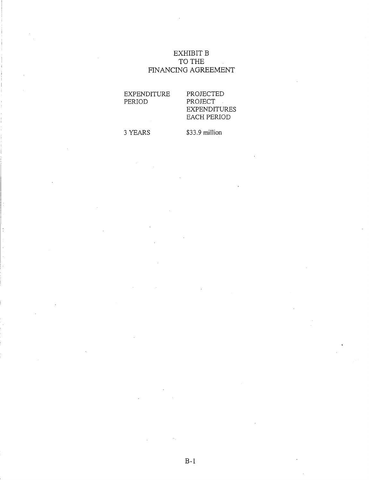# EXHIBIT B TO THE FINANCING AGREEMENT

EXPENDITURE PERIOD

# PROJECTED PROJECT EXPENDITURES EACH PERIOD

3 YEARS

\$33.9 million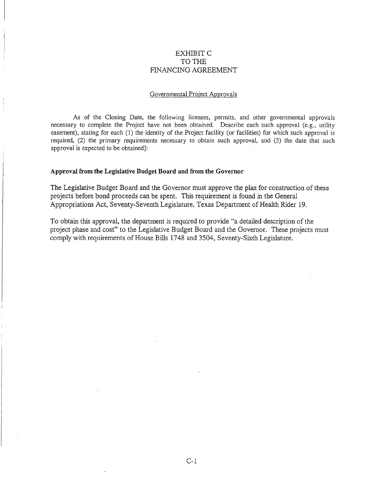# EXHIBIT C TO THE FINANCING AGREEMENT

#### Governmental Project Approvals

As of the Closing Date, the following licenses, permits, and other governmental approvals necessary to complete the Project have not been obtained. Describe each such approval (e.g., utility easement), stating for each (1) the identity of the Project facility (or facilities) for which such approval is required, (2) the primary requirements necessary to obtain such approval, and (3) the date that such approval is expected to be obtained]:

#### **Approval from the Legislative Budget Board and from the Governor**

The Legislative Budget Board and the Governor must approve the plan for construction of these projects before bond proceeds can be spent. This requirement is found in the General Appropriations Act, Seventy-Seventh Legislature, Texas Department of Health Rider 19.

To obtain this approval, the department is required to provide "a detailed description of the project phase and cost" to the Legislative Budget Board and the Governor. These projects must comply with requirements of House Bills 17 48 and 3504, Seventy-Sixth Legislature.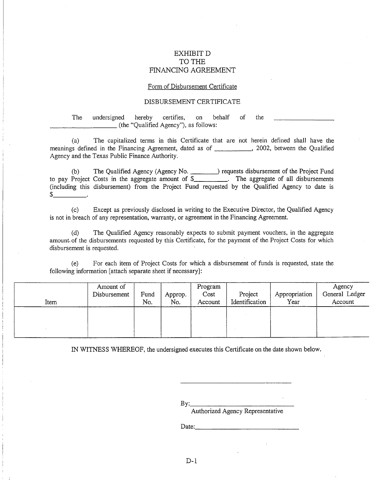# EXHIBIT D TO THE FINANCING AGREEMENT

#### Form of Disbursement Certificate

#### DISBURSEMENT CERTIFICATE

The undersigned hereby certifies, on behalf of the \_\_\_\_\_\_\_\_\_ (the "Qualified Agency"), as follows:

(a) The capitalized terms in this Certificate that are not herein defined shall have the meanings defined in the Financing Agreement, dated as of \_\_\_\_\_\_\_\_\_\_\_\_, 2002, between the Qualified Agency and the Texas Public Finance Authority.

(b) The Qualified Agency (Agency No. 1897) requests disbursement of the Project Fund to pay Project Costs in the aggregate amount of \$\_\_\_\_\_\_\_\_\_\_\_\_. The aggregate of all disbursements (including this disbursement) from the Project Fund requested by the Qualified Agency to date is  $$$  \_\_\_\_\_\_\_\_\_\_\_\_\_\_.

(c) Except as previously disclosed in writing to the Executive Director, the Qualified Agency is not in breach of any representation, warranty, or agreement in the Financing Agreement.

(d) The Qualified Agency reasonably expects to submit payment vouchers, in the aggregate amount, of the disbursements requested by this Certificate, for the payment of the Project Costs for which disbursement is requested.

(e) For each item of Project Costs for which a disbursement of funds is requested, state the following information [attach separate sheet if necessary]:

| Item | Amount of<br>Disbursement | Fund<br>No. | Approp.<br>No. | Program<br>Cost<br>Account | Project<br>Identification | ' Appropriation<br>Year | Agency<br>General Ledger<br>Account |
|------|---------------------------|-------------|----------------|----------------------------|---------------------------|-------------------------|-------------------------------------|
|      |                           |             |                |                            |                           |                         |                                     |
|      |                           |             |                |                            |                           |                         |                                     |

IN WITNESS WHEREOF, the undersigned executes this Certificate on the date shown below.

By: \_\_\_\_\_\_\_\_\_\_ \_

Authorized Agency Representative

Date:. \_\_\_\_\_\_\_\_\_\_\_\_\_ \_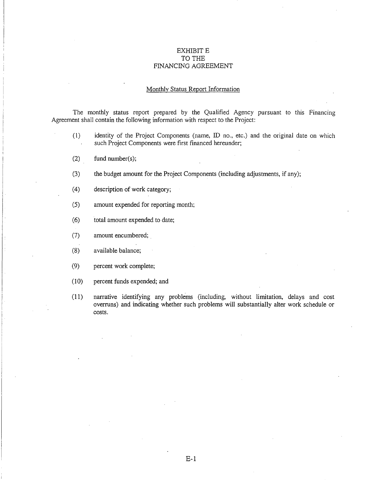## EXHIBIT E TO THE FINANCING AGREEMENT

# Monthly Status Report Information

The monthly status report prepared by the Qualified Agency pursuant to this Financing Agreement shall contain the following information with respect to the Project:

- (1) identity of the Project Components (name, ID no., etc.) and the original date on which such Project Components were first financed hereunder;
- (2) fund number(s);
- (3) the budget amount for the Project Components (including adjustments, if any);
- (4) description of work category;
- (5) amount expended for reporting month;
- ( 6) total amount expended to date;
- (7) amount encumbered; .
- (8) available balance;
- (9) percent work complete;
- (10) percent funds expended; and
- (11) narrative identifying any problems (including, without limitation, delays and cost overruns) and indicating whether such problems will substantially alter work schedule or costs.

E-1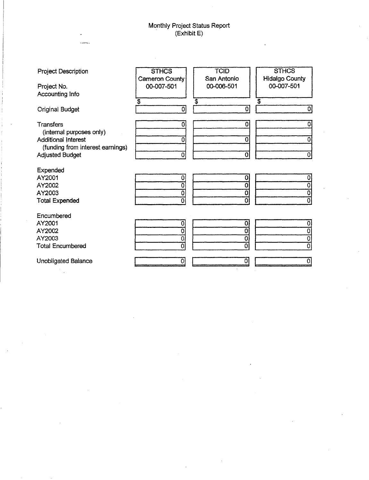# Monthly Project Status Report . (Exhibit E)

| <b>Project Description</b>                                 | <b>STHCS</b>                 | <b>TCID</b><br>San Antonio | <b>STHCS</b>                        |
|------------------------------------------------------------|------------------------------|----------------------------|-------------------------------------|
| Project No.<br>Accounting Info                             | Cameron County<br>00-007-501 | 00-006-501                 | <b>Hidalgo County</b><br>00-007-501 |
|                                                            | $\overline{\mathbf{3}}$      | \$                         | $\overline{\mathfrak{s}}$           |
| <b>Original Budget</b>                                     | 0                            | $\mathbf{0}$               | $\mathbf{0}$                        |
| Transfers                                                  | $\mathbf 0$                  | 0                          | 0                                   |
| (internal purposes only)                                   |                              |                            |                                     |
| <b>Additional Interest</b>                                 | 0                            | 0                          | 0                                   |
| (funding from interest earnings)<br><b>Adjusted Budget</b> | $\mathbf 0$                  | $\overline{0}$             | 0                                   |
|                                                            |                              |                            |                                     |
| Expended                                                   |                              |                            |                                     |
| AY2001                                                     | 0                            | 0                          | 0                                   |
| AY2002                                                     | 0                            | $\mathbf{0}$               |                                     |
| AY2003                                                     | 0                            | Õ                          | 0                                   |
| <b>Total Expended</b>                                      | 0                            | ٥                          | $\overline{0}$                      |
| Encumbered                                                 |                              |                            |                                     |
| AY2001                                                     | 0                            | 0                          |                                     |
| AY2002                                                     | 0                            | 0                          | 0                                   |
| AY2003                                                     | 0                            | $\overline{\mathbf{0}}$    | 0                                   |
| <b>Total Encumbered</b>                                    | 0                            | $\overline{0}$             | $\overline{\mathfrak{o}}$           |
| Unobligated Balance                                        | o                            | 0                          | 0                                   |